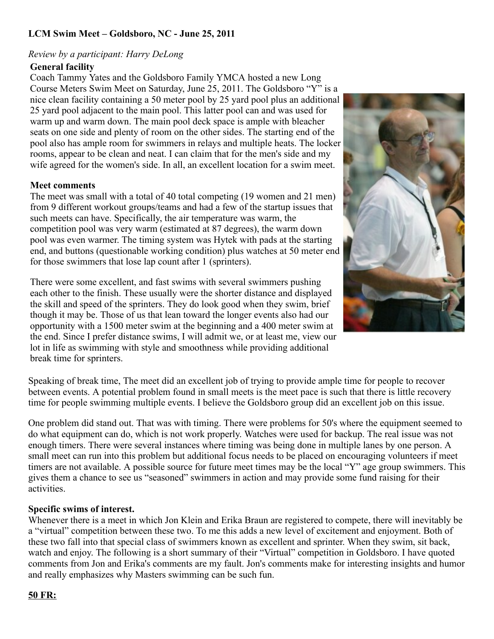# **LCM Swim Meet – Goldsboro, NC - June 25, 2011**

### *Review by a participant: Harry DeLong*

### **General facility**

Coach Tammy Yates and the Goldsboro Family YMCA hosted a new Long Course Meters Swim Meet on Saturday, June 25, 2011. The Goldsboro "Y" is a nice clean facility containing a 50 meter pool by 25 yard pool plus an additional 25 yard pool adjacent to the main pool. This latter pool can and was used for warm up and warm down. The main pool deck space is ample with bleacher seats on one side and plenty of room on the other sides. The starting end of the pool also has ample room for swimmers in relays and multiple heats. The locker rooms, appear to be clean and neat. I can claim that for the men's side and my wife agreed for the women's side. In all, an excellent location for a swim meet.

### **Meet comments**

The meet was small with a total of 40 total competing (19 women and 21 men) from 9 different workout groups/teams and had a few of the startup issues that such meets can have. Specifically, the air temperature was warm, the competition pool was very warm (estimated at 87 degrees), the warm down pool was even warmer. The timing system was Hytek with pads at the starting end, and buttons (questionable working condition) plus watches at 50 meter end for those swimmers that lose lap count after 1 (sprinters).

There were some excellent, and fast swims with several swimmers pushing each other to the finish. These usually were the shorter distance and displayed the skill and speed of the sprinters. They do look good when they swim, brief though it may be. Those of us that lean toward the longer events also had our opportunity with a 1500 meter swim at the beginning and a 400 meter swim at the end. Since I prefer distance swims, I will admit we, or at least me, view our lot in life as swimming with style and smoothness while providing additional break time for sprinters.



Speaking of break time, The meet did an excellent job of trying to provide ample time for people to recover between events. A potential problem found in small meets is the meet pace is such that there is little recovery time for people swimming multiple events. I believe the Goldsboro group did an excellent job on this issue.

One problem did stand out. That was with timing. There were problems for 50's where the equipment seemed to do what equipment can do, which is not work properly. Watches were used for backup. The real issue was not enough timers. There were several instances where timing was being done in multiple lanes by one person. A small meet can run into this problem but additional focus needs to be placed on encouraging volunteers if meet timers are not available. A possible source for future meet times may be the local "Y" age group swimmers. This gives them a chance to see us "seasoned" swimmers in action and may provide some fund raising for their activities.

### **Specific swims of interest.**

Whenever there is a meet in which Jon Klein and Erika Braun are registered to compete, there will inevitably be a "virtual" competition between these two. To me this adds a new level of excitement and enjoyment. Both of these two fall into that special class of swimmers known as excellent and sprinter. When they swim, sit back, watch and enjoy. The following is a short summary of their "Virtual" competition in Goldsboro. I have quoted comments from Jon and Erika's comments are my fault. Jon's comments make for interesting insights and humor and really emphasizes why Masters swimming can be such fun.

#### **50 FR:**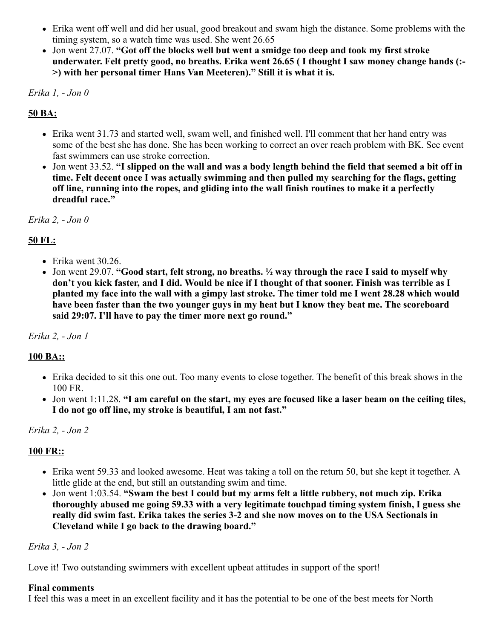- Erika went off well and did her usual, good breakout and swam high the distance. Some problems with the timing system, so a watch time was used. She went 26.65
- Jon went 27.07. **"Got off the blocks well but went a smidge too deep and took my first stroke underwater. Felt pretty good, no breaths. Erika went 26.65 ( I thought I saw money change hands (:- >) with her personal timer Hans Van Meeteren)." Still it is what it is.**

*Erika 1, - Jon 0*

# **50 BA:**

- Erika went 31.73 and started well, swam well, and finished well. I'll comment that her hand entry was some of the best she has done. She has been working to correct an over reach problem with BK. See event fast swimmers can use stroke correction.
- Jon went 33.52. **"I slipped on the wall and was a body length behind the field that seemed a bit off in time. Felt decent once I was actually swimming and then pulled my searching for the flags, getting off line, running into the ropes, and gliding into the wall finish routines to make it a perfectly dreadful race."**

*Erika 2, - Jon 0*

# **50 FL:**

- $\bullet$  Erika went 30.26.
- Jon went 29.07. **"Good start, felt strong, no breaths. ½ way through the race I said to myself why don't you kick faster, and I did. Would be nice if I thought of that sooner. Finish was terrible as I planted my face into the wall with a gimpy last stroke. The timer told me I went 28.28 which would have been faster than the two younger guys in my heat but I know they beat me. The scoreboard said 29:07. I'll have to pay the timer more next go round."**

*Erika 2, - Jon 1*

# **100 BA::**

- Erika decided to sit this one out. Too many events to close together. The benefit of this break shows in the 100 FR.
- Jon went 1:11.28. **"I am careful on the start, my eyes are focused like a laser beam on the ceiling tiles, I do not go off line, my stroke is beautiful, I am not fast."**

# *Erika 2, - Jon 2*

# **100 FR::**

- Erika went 59.33 and looked awesome. Heat was taking a toll on the return 50, but she kept it together. A little glide at the end, but still an outstanding swim and time.
- Jon went 1:03.54. **"Swam the best I could but my arms felt a little rubbery, not much zip. Erika thoroughly abused me going 59.33 with a very legitimate touchpad timing system finish, I guess she really did swim fast. Erika takes the series 3-2 and she now moves on to the USA Sectionals in Cleveland while I go back to the drawing board."**

*Erika 3, - Jon 2*

Love it! Two outstanding swimmers with excellent upbeat attitudes in support of the sport!

### **Final comments**

I feel this was a meet in an excellent facility and it has the potential to be one of the best meets for North